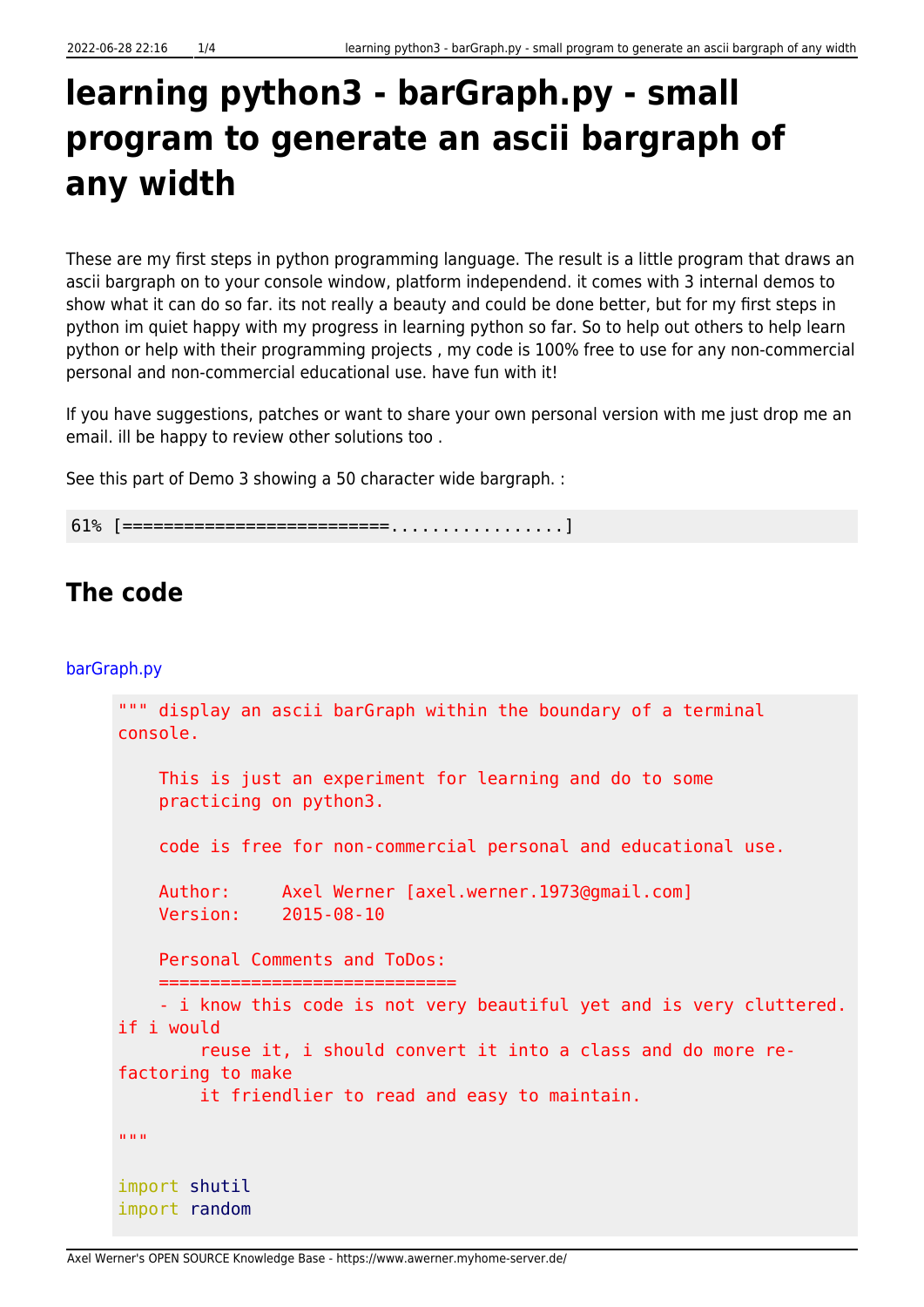## **learning python3 - barGraph.py - small program to generate an ascii bargraph of any width**

These are my first steps in python programming language. The result is a little program that draws an ascii bargraph on to your console window, platform independend. it comes with 3 internal demos to show what it can do so far. its not really a beauty and could be done better, but for my first steps in python im quiet happy with my progress in learning python so far. So to help out others to help learn python or help with their programming projects , my code is 100% free to use for any non-commercial personal and non-commercial educational use. have fun with it!

If you have suggestions, patches or want to share your own personal version with me just drop me an email. ill be happy to review other solutions too .

See this part of Demo 3 showing a 50 character wide bargraph. :

61% [==========================.................]

## **The code**

## [barGraph.py](https://www.awerner.myhome-server.de/doku.php?do=export_code&id=it-artikel:python:learning-python3-bargraph.py-small-program-to-generate-an-ascii-bargraph-of-any-width&codeblock=1)

```
""" display an ascii barGraph within the boundary of a terminal
console.
     This is just an experiment for learning and do to some
     practicing on python3.
     code is free for non-commercial personal and educational use.
     Author: Axel Werner [axel.werner.1973@gmail.com]
     Version: 2015-08-10
     Personal Comments and ToDos:
==================================
     - i know this code is not very beautiful yet and is very cluttered.
if i would
         reuse it, i should convert it into a class and do more re-
factoring to make
         it friendlier to read and easy to maintain.
"" "" ""
import shutil
import random
```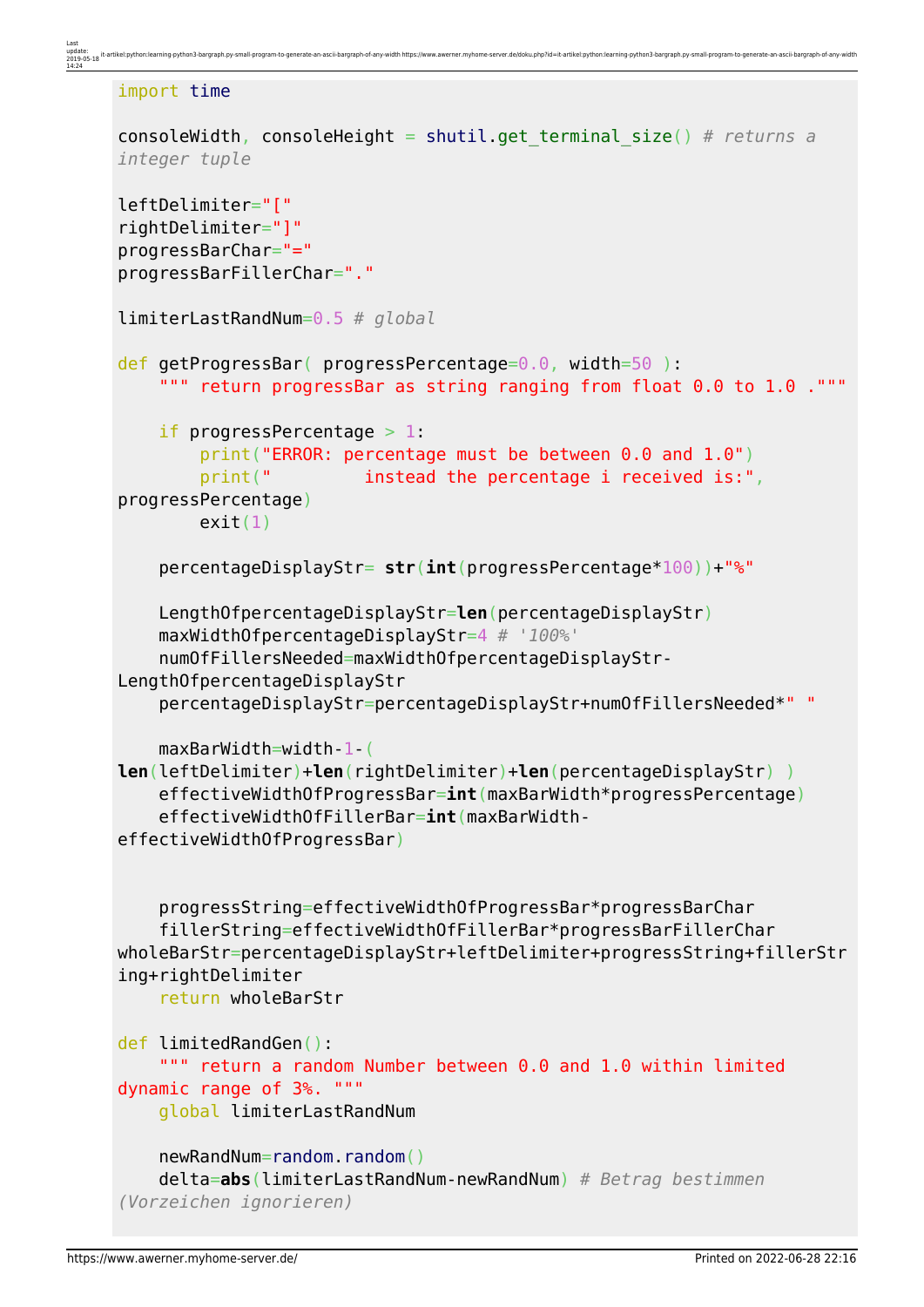```
import time
consoleWidth, consoleHeight = shutil.get_terminal_size() # returns a
integer tuple
leftDelimiter="["
rightDelimiter="]"
progressBarChar="="
progressBarFillerChar="."
limiterLastRandNum=0.5 # global
def getProgressBar( progressPercentage=0.0, width=50 ):
     """ return progressBar as string ranging from float 0.0 to 1.0 ."""
    if progressPercentage > 1:
         print("ERROR: percentage must be between 0.0 and 1.0")
        print(" instead the percentage i received is:",
progressPercentage)
        exit(1) percentageDisplayStr= str(int(progressPercentage*100))+"%"
     LengthOfpercentageDisplayStr=len(percentageDisplayStr)
     maxWidthOfpercentageDisplayStr=4 # '100%'
     numOfFillersNeeded=maxWidthOfpercentageDisplayStr-
LengthOfpercentageDisplayStr
     percentageDisplayStr=percentageDisplayStr+numOfFillersNeeded*" "
     maxBarWidth=width-1-(
len(leftDelimiter)+len(rightDelimiter)+len(percentageDisplayStr) )
     effectiveWidthOfProgressBar=int(maxBarWidth*progressPercentage)
     effectiveWidthOfFillerBar=int(maxBarWidth-
effectiveWidthOfProgressBar)
     progressString=effectiveWidthOfProgressBar*progressBarChar
     fillerString=effectiveWidthOfFillerBar*progressBarFillerChar
wholeBarStr=percentageDisplayStr+leftDelimiter+progressString+fillerStr
ing+rightDelimiter
     return wholeBarStr
def limitedRandGen():
     """ return a random Number between 0.0 and 1.0 within limited
dynamic range of 3%. """
     global limiterLastRandNum
     newRandNum=random.random()
     delta=abs(limiterLastRandNum-newRandNum) # Betrag bestimmen
(Vorzeichen ignorieren)
```
me-server.de/doku.php?id=it-artikel:python:learn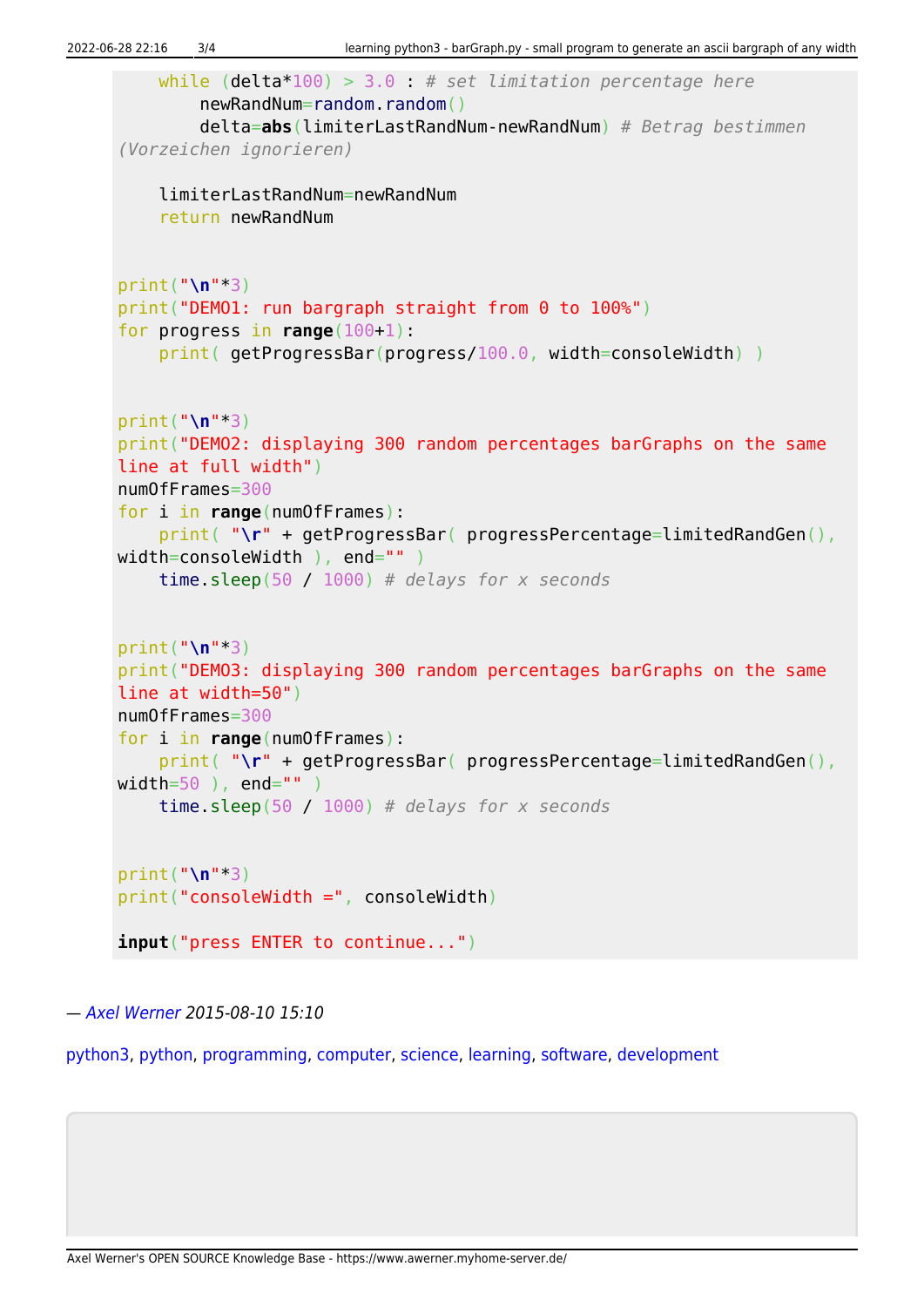```
 while (delta*100) > 3.0 : # set limitation percentage here
         newRandNum=random.random()
         delta=abs(limiterLastRandNum-newRandNum) # Betrag bestimmen
(Vorzeichen ignorieren)
     limiterLastRandNum=newRandNum
     return newRandNum
print("\n"*3)
print("DEMO1: run bargraph straight from 0 to 100%")
for progress in range(100+1):
     print( getProgressBar(progress/100.0, width=consoleWidth) )
print("\n"*3)
print("DEMO2: displaying 300 random percentages barGraphs on the same
line at full width")
numOfFrames=300
for i in range(numOfFrames):
     print( "\r" + getProgressBar( progressPercentage=limitedRandGen(),
width=consoleWidth ), end="" )
     time.sleep(50 / 1000) # delays for x seconds
print("\n"*3)
print("DEMO3: displaying 300 random percentages barGraphs on the same
line at width=50")
numOfFrames=300
for i in range(numOfFrames):
    print( "\r" + getProgressBar( progressPercentage=limitedRandGen(),
width=50 ), end="" )
     time.sleep(50 / 1000) # delays for x seconds
print("\n"*3)
print("consoleWidth =", consoleWidth)
input("press ENTER to continue...")
```
— [Axel Werner](mailto:mail@awerner.myhome-server.de) 2015-08-10 15:10

[python3](https://www.awerner.myhome-server.de/doku.php?id=tag:python3&do=showtag&tag=python3), [python](https://www.awerner.myhome-server.de/doku.php?id=tag:python&do=showtag&tag=python), [programming,](https://www.awerner.myhome-server.de/doku.php?id=tag:programming&do=showtag&tag=programming) [computer](https://www.awerner.myhome-server.de/doku.php?id=tag:computer&do=showtag&tag=computer), [science,](https://www.awerner.myhome-server.de/doku.php?id=tag:science&do=showtag&tag=science) [learning](https://www.awerner.myhome-server.de/doku.php?id=tag:learning&do=showtag&tag=learning), [software,](https://www.awerner.myhome-server.de/doku.php?id=tag:software&do=showtag&tag=software) [development](https://www.awerner.myhome-server.de/doku.php?id=tag:development&do=showtag&tag=development)